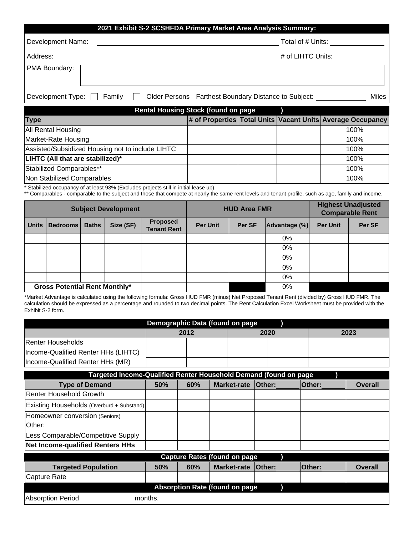| 2021 Exhibit S-2 SCSHFDA Primary Market Area Analysis Summary: |                                                      |       |  |  |
|----------------------------------------------------------------|------------------------------------------------------|-------|--|--|
| Development Name:                                              | Total of # Units:                                    |       |  |  |
| Address:                                                       | # of LIHTC Units:                                    |       |  |  |
| PMA Boundary:                                                  |                                                      |       |  |  |
|                                                                |                                                      |       |  |  |
| Development Type:<br>Family                                    | Older Persons Farthest Boundary Distance to Subject: | Miles |  |  |

| <b>Rental Housing Stock (found on page</b>       |  |  |  |                                                            |  |
|--------------------------------------------------|--|--|--|------------------------------------------------------------|--|
| <b>Type</b>                                      |  |  |  | # of Properties Total Units Vacant Units Average Occupancy |  |
| All Rental Housing                               |  |  |  | 100%                                                       |  |
| Market-Rate Housing                              |  |  |  | 100%                                                       |  |
| Assisted/Subsidized Housing not to include LIHTC |  |  |  | 100%                                                       |  |
| LIHTC (All that are stabilized)*                 |  |  |  | 100%                                                       |  |
| Stabilized Comparables**                         |  |  |  | 100%                                                       |  |
| Non Stabilized Comparables                       |  |  |  | 100%                                                       |  |

\* Stabilized occupancy of at least 93% (Excludes projects still in initial lease up).

\*\* Comparables - comparable to the subject and those that compete at nearly the same rent levels and tenant profile, such as age, family and income.

| <b>Subject Development</b>           |          |              | <b>HUD Area FMR</b> |                                       |                 | <b>Highest Unadjusted</b><br><b>Comparable Rent</b> |               |                 |        |
|--------------------------------------|----------|--------------|---------------------|---------------------------------------|-----------------|-----------------------------------------------------|---------------|-----------------|--------|
| <b>Units</b>                         | Bedrooms | <b>Baths</b> | Size (SF)           | <b>Proposed</b><br><b>Tenant Rent</b> | <b>Per Unit</b> | Per SF                                              | Advantage (%) | <b>Per Unit</b> | Per SF |
|                                      |          |              |                     |                                       |                 |                                                     | $0\%$         |                 |        |
|                                      |          |              |                     |                                       |                 |                                                     | 0%            |                 |        |
|                                      |          |              |                     |                                       |                 |                                                     | 0%            |                 |        |
|                                      |          |              |                     |                                       |                 |                                                     | 0%            |                 |        |
|                                      |          |              |                     |                                       |                 |                                                     | 0%            |                 |        |
| <b>Gross Potential Rent Monthly*</b> |          |              |                     |                                       | 0%              |                                                     |               |                 |        |

\*Market Advantage is calculated using the following formula: Gross HUD FMR (minus) Net Proposed Tenant Rent (divided by) Gross HUD FMR. The calculation should be expressed as a percentage and rounded to two decimal points. The Rent Calculation Excel Worksheet must be provided with the Exhibit S-2 form.

| Demographic Data (found on page     |  |      |  |      |  |      |
|-------------------------------------|--|------|--|------|--|------|
|                                     |  | 2012 |  | 2020 |  | 2023 |
| Renter Households                   |  |      |  |      |  |      |
| Income-Qualified Renter HHs (LIHTC) |  |      |  |      |  |      |
| Income-Qualified Renter HHs (MR)    |  |      |  |      |  |      |

| Targeted Income-Qualified Renter Household Demand (found on page |     |     |                    |               |               |                |
|------------------------------------------------------------------|-----|-----|--------------------|---------------|---------------|----------------|
| <b>Type of Demand</b>                                            | 50% | 60% | <b>Market-rate</b> | <b>Other:</b> | <b>Other:</b> | <b>Overall</b> |
| Renter Household Growth                                          |     |     |                    |               |               |                |
| Existing Households (Overburd + Substand)                        |     |     |                    |               |               |                |
| Homeowner conversion (Seniors)                                   |     |     |                    |               |               |                |
| lOther:                                                          |     |     |                    |               |               |                |
| Less Comparable/Competitive Supply                               |     |     |                    |               |               |                |
| <b>Net Income-qualified Renters HHs</b>                          |     |     |                    |               |               |                |
| <b>Capture Rates (found on page</b>                              |     |     |                    |               |               |                |
| <b>Targeted Population</b>                                       | 50% | 60% | <b>Market-rate</b> | <b>Other:</b> | <b>Other:</b> | <b>Overall</b> |
| <b>Capture Rate</b>                                              |     |     |                    |               |               |                |
| <b>Absorption Rate (found on page</b>                            |     |     |                    |               |               |                |
| Absorption Period<br>months.                                     |     |     |                    |               |               |                |